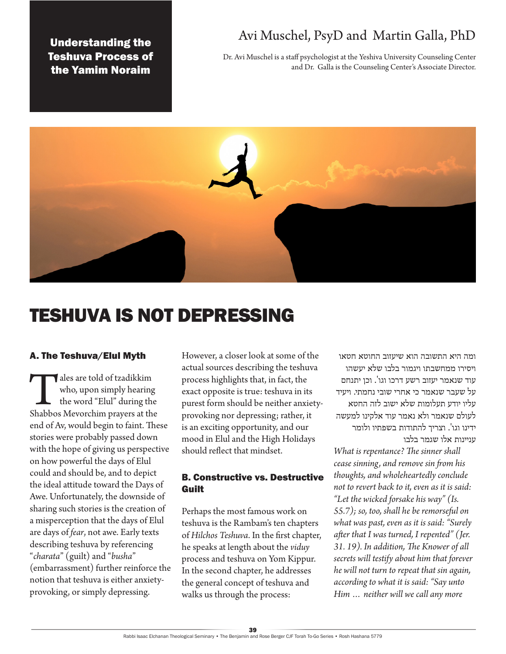Understanding the Teshuva Process of the Yamim Noraim

# Avi Muschel, PsyD and Martin Galla, PhD

Dr. Avi Muschel is a staff psychologist at the Yeshiva University Counseling Center and Dr. Galla is the Counseling Center's Associate Director.



# TESHUVA IS NOT DEPRESSING

### A. The Teshuva/Elul Myth

Tales are told of tzadikkim<br>
who, upon simply hearing<br>
the word "Elul" during the<br>
Shabbos Mevorchim prayers at the who, upon simply hearing the word "Elul" during the end of Av, would begin to faint. These stories were probably passed down with the hope of giving us perspective on how powerful the days of Elul could and should be, and to depict the ideal attitude toward the Days of Awe. Unfortunately, the downside of sharing such stories is the creation of a misperception that the days of Elul are days of *fear*, not awe. Early texts describing teshuva by referencing "*charata*" (guilt) and "*busha*" (embarrassment) further reinforce the notion that teshuva is either anxietyprovoking, or simply depressing.

However, a closer look at some of the actual sources describing the teshuva process highlights that, in fact, the exact opposite is true: teshuva in its purest form should be neither anxietyprovoking nor depressing; rather, it is an exciting opportunity, and our mood in Elul and the High Holidays should reflect that mindset.

# B. Constructive vs. Destructive Guilt

Perhaps the most famous work on teshuva is the Rambam's ten chapters of *Hilchos Teshuva*. In the first chapter, he speaks at length about the *viduy* process and teshuva on Yom Kippur. In the second chapter, he addresses the general concept of teshuva and walks us through the process:

ומה היא התשובה הוא שיעזוב החוטא חטאו ויסירו ממחשבתו ויגמור בלבו שלא יעשהו עוד שנאמר יעזוב רשע דרכו וגו'. וכן יתנחם על שעבר שנאמר כי אחרי שובי נחמתי. ויעיד עליו יודע תעלומות שלא ישוב לזה החטא לעולם שנאמר ולא נאמר עוד אלקינו למעשה ידינו וגו'. וצריך להתודות בשפתיו ולומר עניינות אלו שגמר בלבו

*What is repentance? The sinner shall cease sinning, and remove sin from his thoughts, and wholeheartedly conclude not to revert back to it, even as it is said: "Let the wicked forsake his way" (Is. 55.7); so, too, shall he be remorseful on what was past, even as it is said: "Surely after that I was turned, I repented" (Jer. 31. 19). In addition, The Knower of all secrets will testify about him that forever he will not turn to repeat that sin again, according to what it is said: "Say unto Him … neither will we call any more*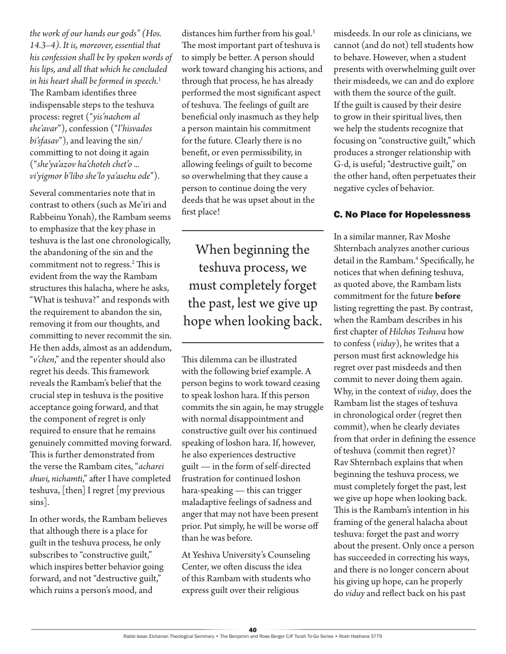*the work of our hands our gods" (Hos. 14.3–4). It is, moreover, essential that his confession shall be by spoken words of his lips, and all that which he concluded in his heart shall be formed in speech.*<sup>1</sup> The Rambam identifies three indispensable steps to the teshuva process: regret ("*yis'nachem al she'avar*"), confession ("*l'hisvados bi'sfasav*"), and leaving the sin/ committing to not doing it again ("*she'ya'azov ha'choteh chet'o ... vi'yigmor b'libo she'lo ya'asehu ode*").

Several commentaries note that in contrast to others (such as Me'iri and Rabbeinu Yonah), the Rambam seems to emphasize that the key phase in teshuva is the last one chronologically, the abandoning of the sin and the commitment not to regress.2 This is evident from the way the Rambam structures this halacha, where he asks, "What is teshuva?" and responds with the requirement to abandon the sin, removing it from our thoughts, and committing to never recommit the sin. He then adds, almost as an addendum, "*v'chen*," and the repenter should also regret his deeds. This framework reveals the Rambam's belief that the crucial step in teshuva is the positive acceptance going forward, and that the component of regret is only required to ensure that he remains genuinely committed moving forward. This is further demonstrated from the verse the Rambam cites, "*acharei shuvi, nichamti*," after I have completed teshuva, [then] I regret [my previous sins].

In other words, the Rambam believes that although there is a place for guilt in the teshuva process, he only subscribes to "constructive guilt," which inspires better behavior going forward, and not "destructive guilt," which ruins a person's mood, and

distances him further from his goal.<sup>3</sup> The most important part of teshuva is to simply be better. A person should work toward changing his actions, and through that process, he has already performed the most significant aspect of teshuva. The feelings of guilt are beneficial only inasmuch as they help a person maintain his commitment for the future. Clearly there is no benefit, or even permissibility, in allowing feelings of guilt to become so overwhelming that they cause a person to continue doing the very deeds that he was upset about in the first place!

When beginning the teshuva process, we must completely forget the past, lest we give up hope when looking back.

This dilemma can be illustrated with the following brief example. A person begins to work toward ceasing to speak loshon hara. If this person commits the sin again, he may struggle with normal disappointment and constructive guilt over his continued speaking of loshon hara. If, however, he also experiences destructive guilt — in the form of self-directed frustration for continued loshon hara-speaking — this can trigger maladaptive feelings of sadness and anger that may not have been present prior. Put simply, he will be worse off than he was before.

At Yeshiva University's Counseling Center, we often discuss the idea of this Rambam with students who express guilt over their religious

misdeeds. In our role as clinicians, we cannot (and do not) tell students how to behave. However, when a student presents with overwhelming guilt over their misdeeds, we can and do explore with them the source of the guilt. If the guilt is caused by their desire to grow in their spiritual lives, then we help the students recognize that focusing on "constructive guilt," which produces a stronger relationship with G-d, is useful; "destructive guilt," on the other hand, often perpetuates their negative cycles of behavior.

# C. No Place for Hopelessness

In a similar manner, Rav Moshe Shternbach analyzes another curious detail in the Rambam.4 Specifically, he notices that when defining teshuva, as quoted above, the Rambam lists commitment for the future **before**  listing regretting the past. By contrast, when the Rambam describes in his first chapter of *Hilchos Teshuva* how to confess (*viduy*), he writes that a person must first acknowledge his regret over past misdeeds and then commit to never doing them again. Why, in the context of *viduy*, does the Rambam list the stages of teshuva in chronological order (regret then commit), when he clearly deviates from that order in defining the essence of teshuva (commit then regret)? Rav Shternbach explains that when beginning the teshuva process, we must completely forget the past, lest we give up hope when looking back. This is the Rambam's intention in his framing of the general halacha about teshuva: forget the past and worry about the present. Only once a person has succeeded in correcting his ways, and there is no longer concern about his giving up hope, can he properly do *viduy* and reflect back on his past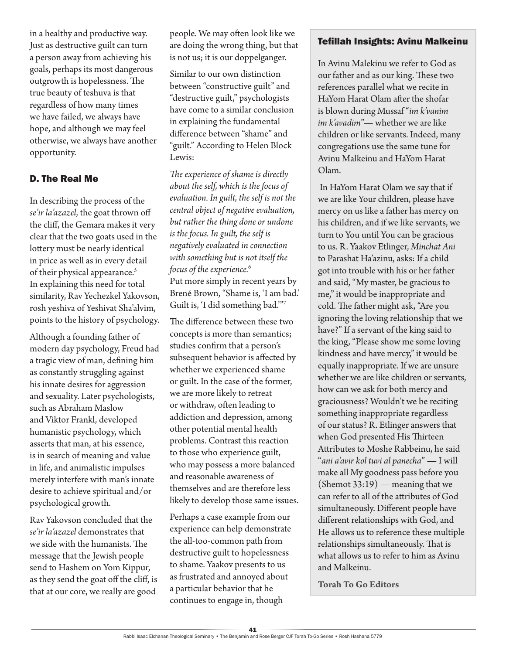in a healthy and productive way. Just as destructive guilt can turn a person away from achieving his goals, perhaps its most dangerous outgrowth is hopelessness. The true beauty of teshuva is that regardless of how many times we have failed, we always have hope, and although we may feel otherwise, we always have another opportunity.

# D. The Real Me

In describing the process of the *se'ir la'azazel*, the goat thrown off the cliff, the Gemara makes it very clear that the two goats used in the lottery must be nearly identical in price as well as in every detail of their physical appearance.<sup>5</sup> In explaining this need for total similarity, Rav Yechezkel Yakovson, rosh yeshiva of Yeshivat Sha'alvim, points to the history of psychology.

Although a founding father of modern day psychology, Freud had a tragic view of man, defining him as constantly struggling against his innate desires for aggression and sexuality. Later psychologists, such as Abraham Maslow and Viktor Frankl, developed humanistic psychology, which asserts that man, at his essence, is in search of meaning and value in life, and animalistic impulses merely interfere with man's innate desire to achieve spiritual and/or psychological growth.

Rav Yakovson concluded that the *se'ir la'azazel* demonstrates that we side with the humanists. The message that the Jewish people send to Hashem on Yom Kippur, as they send the goat off the cliff, is that at our core, we really are good

people. We may often look like we are doing the wrong thing, but that is not us; it is our doppelganger.

Similar to our own distinction between "constructive guilt" and "destructive guilt," psychologists have come to a similar conclusion in explaining the fundamental difference between "shame" and "guilt." According to Helen Block Lewis:

*The experience of shame is directly about the self, which is the focus of evaluation. In guilt, the self is not the central object of negative evaluation, but rather the thing done or undone is the focus. In guilt, the self is negatively evaluated in connection with something but is not itself the focus of the experience.*<sup>6</sup> Put more simply in recent years by Brené Brown, "Shame is, 'I am bad.' Guilt is, 'I did something bad.'"7

The difference between these two concepts is more than semantics; studies confirm that a person's subsequent behavior is affected by whether we experienced shame or guilt. In the case of the former, we are more likely to retreat or withdraw, often leading to addiction and depression, among other potential mental health problems. Contrast this reaction to those who experience guilt, who may possess a more balanced and reasonable awareness of themselves and are therefore less likely to develop those same issues.

Perhaps a case example from our experience can help demonstrate the all-too-common path from destructive guilt to hopelessness to shame. Yaakov presents to us as frustrated and annoyed about a particular behavior that he continues to engage in, though

#### Tefillah Insights: Avinu Malkeinu

In Avinu Malekinu we refer to God as our father and as our king. These two references parallel what we recite in HaYom Harat Olam after the shofar is blown during Mussaf "*im k'vanim im k'avadim*"— whether we are like children or like servants. Indeed, many congregations use the same tune for Avinu Malkeinu and HaYom Harat Olam.

 In HaYom Harat Olam we say that if we are like Your children, please have mercy on us like a father has mercy on his children, and if we like servants, we turn to You until You can be gracious to us. R. Yaakov Etlinger, *Minchat Ani* to Parashat Ha'azinu, asks: If a child got into trouble with his or her father and said, "My master, be gracious to me," it would be inappropriate and cold. The father might ask, "Are you ignoring the loving relationship that we have?" If a servant of the king said to the king, "Please show me some loving kindness and have mercy," it would be equally inappropriate. If we are unsure whether we are like children or servants, how can we ask for both mercy and graciousness? Wouldn't we be reciting something inappropriate regardless of our status? R. Etlinger answers that when God presented His Thirteen Attributes to Moshe Rabbeinu, he said "*ani a'avir kol tuvi al panecha*" — I will make all My goodness pass before you  $(Shemot 33:19)$  — meaning that we can refer to all of the attributes of God simultaneously. Different people have different relationships with God, and He allows us to reference these multiple relationships simultaneously. That is what allows us to refer to him as Avinu and Malkeinu.

**Torah To Go Editors**